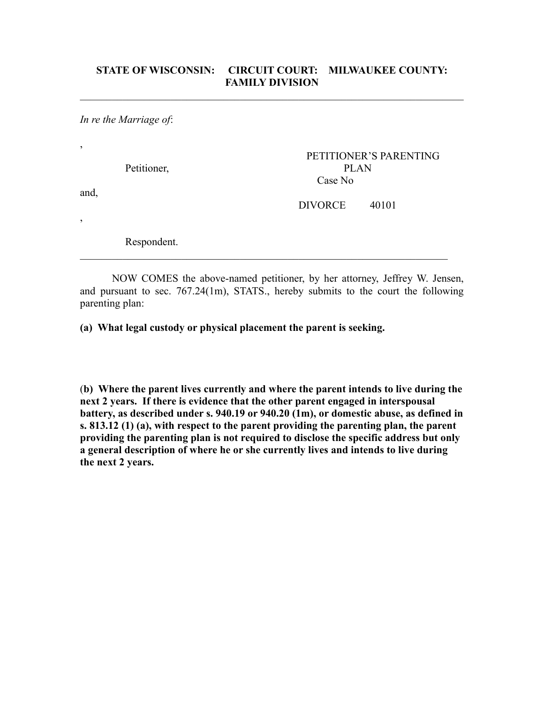$\mathcal{L}_\text{max}$  , and the contribution of the contribution of the contribution of the contribution of the contribution of the contribution of the contribution of the contribution of the contribution of the contribution of t

*In re the Marriage of*:

,

| Petitioner,    | <b>PLAN</b>    | PETITIONER'S PARENTING |
|----------------|----------------|------------------------|
| and,           | Case No        |                        |
|                | <b>DIVORCE</b> | 40101                  |
| $\overline{ }$ |                |                        |
| Respondent.    |                |                        |

 $\mathcal{L}_\mathcal{L} = \mathcal{L}_\mathcal{L} = \mathcal{L}_\mathcal{L} = \mathcal{L}_\mathcal{L} = \mathcal{L}_\mathcal{L} = \mathcal{L}_\mathcal{L} = \mathcal{L}_\mathcal{L} = \mathcal{L}_\mathcal{L} = \mathcal{L}_\mathcal{L} = \mathcal{L}_\mathcal{L} = \mathcal{L}_\mathcal{L} = \mathcal{L}_\mathcal{L} = \mathcal{L}_\mathcal{L} = \mathcal{L}_\mathcal{L} = \mathcal{L}_\mathcal{L} = \mathcal{L}_\mathcal{L} = \mathcal{L}_\mathcal{L}$ 

NOW COMES the above-named petitioner, by her attorney, Jeffrey W. Jensen, and pursuant to sec. 767.24(1m), STATS., hereby submits to the court the following parenting plan:

**(a) What legal custody or physical placement the parent is seeking.**

(**b) Where the parent lives currently and where the parent intends to live during the next 2 years. If there is evidence that the other parent engaged in interspousal battery, as described under s. 940.19 or 940.20 (1m), or domestic abuse, as defined in s. 813.12 (1) (a), with respect to the parent providing the parenting plan, the parent providing the parenting plan is not required to disclose the specific address but only a general description of where he or she currently lives and intends to live during the next 2 years.**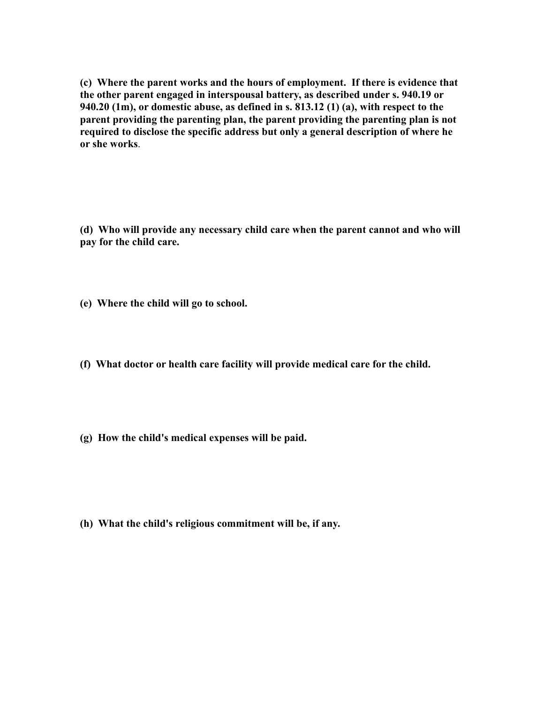**(c) Where the parent works and the hours of employment. If there is evidence that the other parent engaged in interspousal battery, as described under s. 940.19 or 940.20 (1m), or domestic abuse, as defined in s. 813.12 (1) (a), with respect to the parent providing the parenting plan, the parent providing the parenting plan is not required to disclose the specific address but only a general description of where he or she works**.

**(d) Who will provide any necessary child care when the parent cannot and who will pay for the child care.**

- **(e) Where the child will go to school.**
- **(f) What doctor or health care facility will provide medical care for the child.**
- **(g) How the child's medical expenses will be paid.**

**(h) What the child's religious commitment will be, if any.**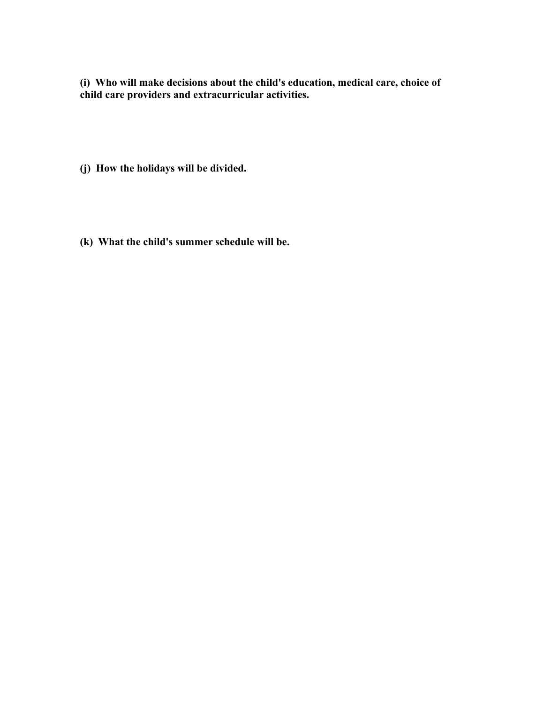**(i) Who will make decisions about the child's education, medical care, choice of child care providers and extracurricular activities.**

- **(j) How the holidays will be divided.**
- **(k) What the child's summer schedule will be.**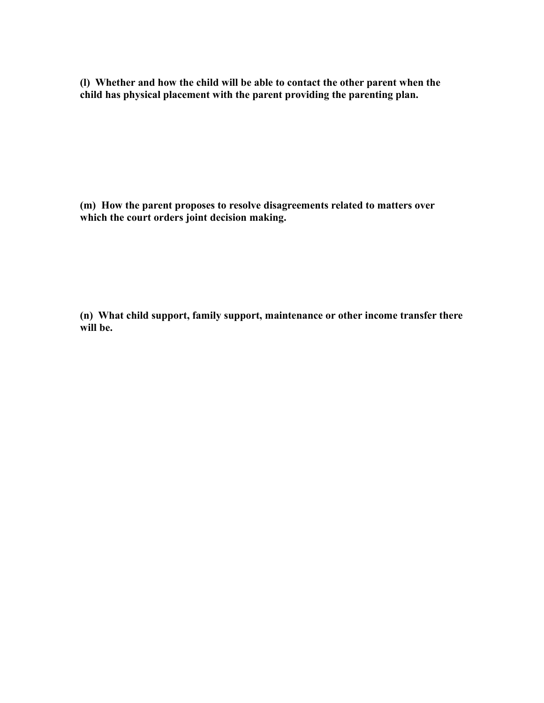**(l) Whether and how the child will be able to contact the other parent when the child has physical placement with the parent providing the parenting plan.**

**(m) How the parent proposes to resolve disagreements related to matters over which the court orders joint decision making.**

**(n) What child support, family support, maintenance or other income transfer there will be.**